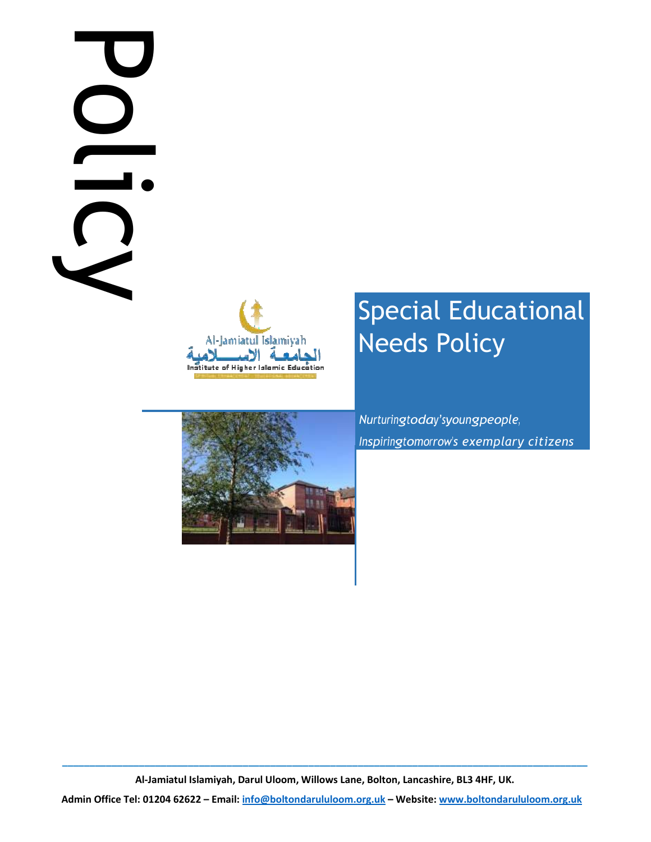# Policy is DC





# Special Educational Needs Policy

Nurturingtoday'syoungpeople, Inspiringtomorrow's exemplary citizens

 $\_$  ,  $\_$  ,  $\_$  ,  $\_$  ,  $\_$  ,  $\_$  ,  $\_$  ,  $\_$  ,  $\_$  ,  $\_$  ,  $\_$  ,  $\_$  ,  $\_$  ,  $\_$  ,  $\_$  ,  $\_$  ,  $\_$  ,  $\_$  ,  $\_$  ,  $\_$  ,  $\_$  ,  $\_$  ,  $\_$  ,  $\_$  ,  $\_$  ,  $\_$  ,  $\_$  ,  $\_$  ,  $\_$  ,  $\_$  ,  $\_$  ,  $\_$  ,  $\_$  ,  $\_$  ,  $\_$  ,  $\_$  ,  $\_$  , Al-Jamiatul Islamiyah, Darul Uloom, Willows Lane, Bolton, Lancashire, BL3 4HF, UK.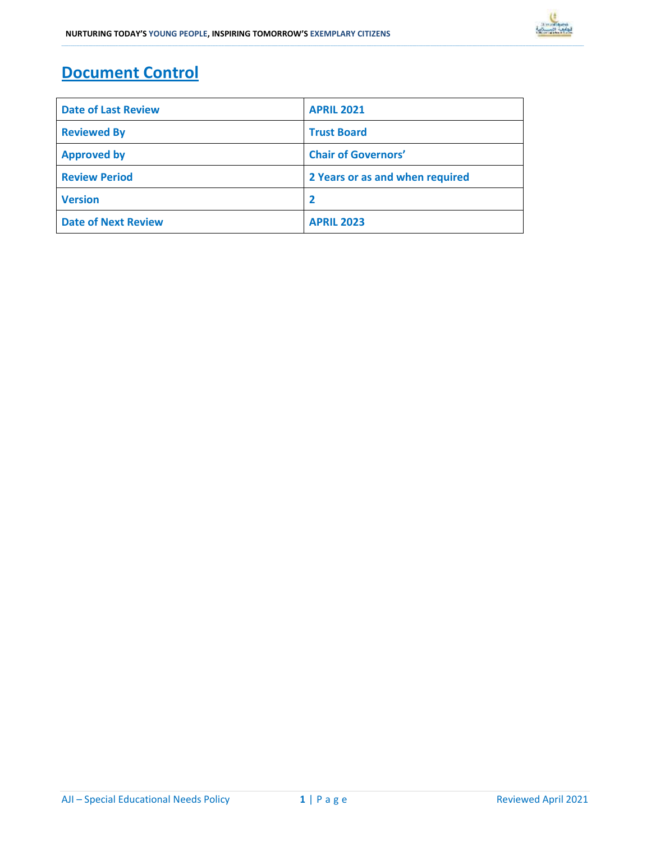# Document Control

| <b>Date of Last Review</b> | <b>APRIL 2021</b>               |
|----------------------------|---------------------------------|
| <b>Reviewed By</b>         | <b>Trust Board</b>              |
| <b>Approved by</b>         | <b>Chair of Governors'</b>      |
| <b>Review Period</b>       | 2 Years or as and when required |
| <b>Version</b>             | $\overline{\mathbf{2}}$         |
| <b>Date of Next Review</b> | <b>APRIL 2023</b>               |

\_\_\_\_\_\_\_\_\_\_\_\_\_\_\_\_\_\_\_\_\_\_\_\_\_\_\_\_\_\_\_\_\_\_\_\_\_\_\_\_\_\_\_\_\_\_\_\_\_\_\_\_\_\_\_\_\_\_\_\_\_\_\_\_\_\_\_\_\_\_\_\_\_\_\_\_\_\_\_\_\_\_\_\_\_\_\_\_\_\_\_\_\_\_\_\_\_\_\_\_\_\_\_\_\_\_\_\_\_\_\_\_\_\_\_\_\_\_\_\_\_\_\_\_\_\_\_\_\_\_\_\_\_\_\_\_\_\_\_\_\_\_\_\_\_\_\_\_\_\_\_\_\_\_\_\_\_\_\_\_\_\_\_\_\_\_\_\_\_\_\_\_\_\_\_\_\_\_\_\_\_\_\_\_\_\_\_\_\_\_\_\_\_\_\_\_\_\_\_\_\_\_\_\_\_\_\_\_\_\_\_\_\_\_\_\_\_\_\_\_\_\_\_\_\_\_\_\_\_\_\_\_\_\_\_\_\_\_\_\_\_\_\_\_\_\_\_\_\_\_\_\_\_\_\_\_\_\_\_\_\_\_\_\_\_\_\_\_\_\_\_\_\_\_\_\_\_\_\_\_\_\_\_\_\_\_\_\_\_\_\_\_\_\_\_\_\_\_\_\_\_\_\_\_\_\_\_\_\_\_\_\_\_\_\_\_\_\_\_\_\_\_\_\_\_\_\_\_\_\_\_\_\_\_\_\_\_\_\_\_\_\_\_\_\_\_\_\_\_\_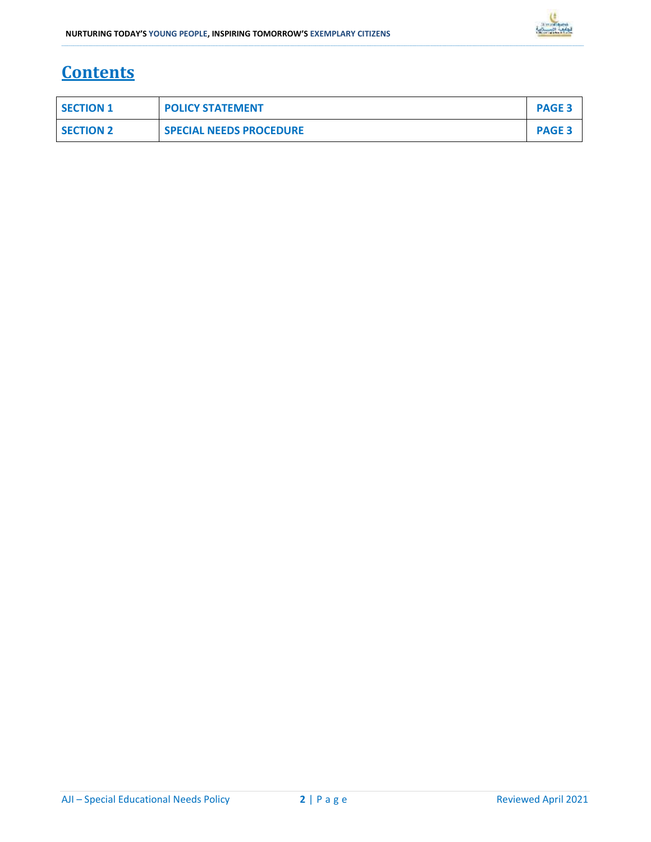

## **Contents**

| <b>SECTION 1</b> | <b>POLICY STATEMENT</b>        | <b>PAGE 3</b> |
|------------------|--------------------------------|---------------|
| <b>SECTION 2</b> | <b>SPECIAL NEEDS PROCEDURE</b> | <b>PAGE 3</b> |

\_\_\_\_\_\_\_\_\_\_\_\_\_\_\_\_\_\_\_\_\_\_\_\_\_\_\_\_\_\_\_\_\_\_\_\_\_\_\_\_\_\_\_\_\_\_\_\_\_\_\_\_\_\_\_\_\_\_\_\_\_\_\_\_\_\_\_\_\_\_\_\_\_\_\_\_\_\_\_\_\_\_\_\_\_\_\_\_\_\_\_\_\_\_\_\_\_\_\_\_\_\_\_\_\_\_\_\_\_\_\_\_\_\_\_\_\_\_\_\_\_\_\_\_\_\_\_\_\_\_\_\_\_\_\_\_\_\_\_\_\_\_\_\_\_\_\_\_\_\_\_\_\_\_\_\_\_\_\_\_\_\_\_\_\_\_\_\_\_\_\_\_\_\_\_\_\_\_\_\_\_\_\_\_\_\_\_\_\_\_\_\_\_\_\_\_\_\_\_\_\_\_\_\_\_\_\_\_\_\_\_\_\_\_\_\_\_\_\_\_\_\_\_\_\_\_\_\_\_\_\_\_\_\_\_\_\_\_\_\_\_\_\_\_\_\_\_\_\_\_\_\_\_\_\_\_\_\_\_\_\_\_\_\_\_\_\_\_\_\_\_\_\_\_\_\_\_\_\_\_\_\_\_\_\_\_\_\_\_\_\_\_\_\_\_\_\_\_\_\_\_\_\_\_\_\_\_\_\_\_\_\_\_\_\_\_\_\_\_\_\_\_\_\_\_\_\_\_\_\_\_\_\_\_\_\_\_\_\_\_\_\_\_\_\_\_\_\_\_\_